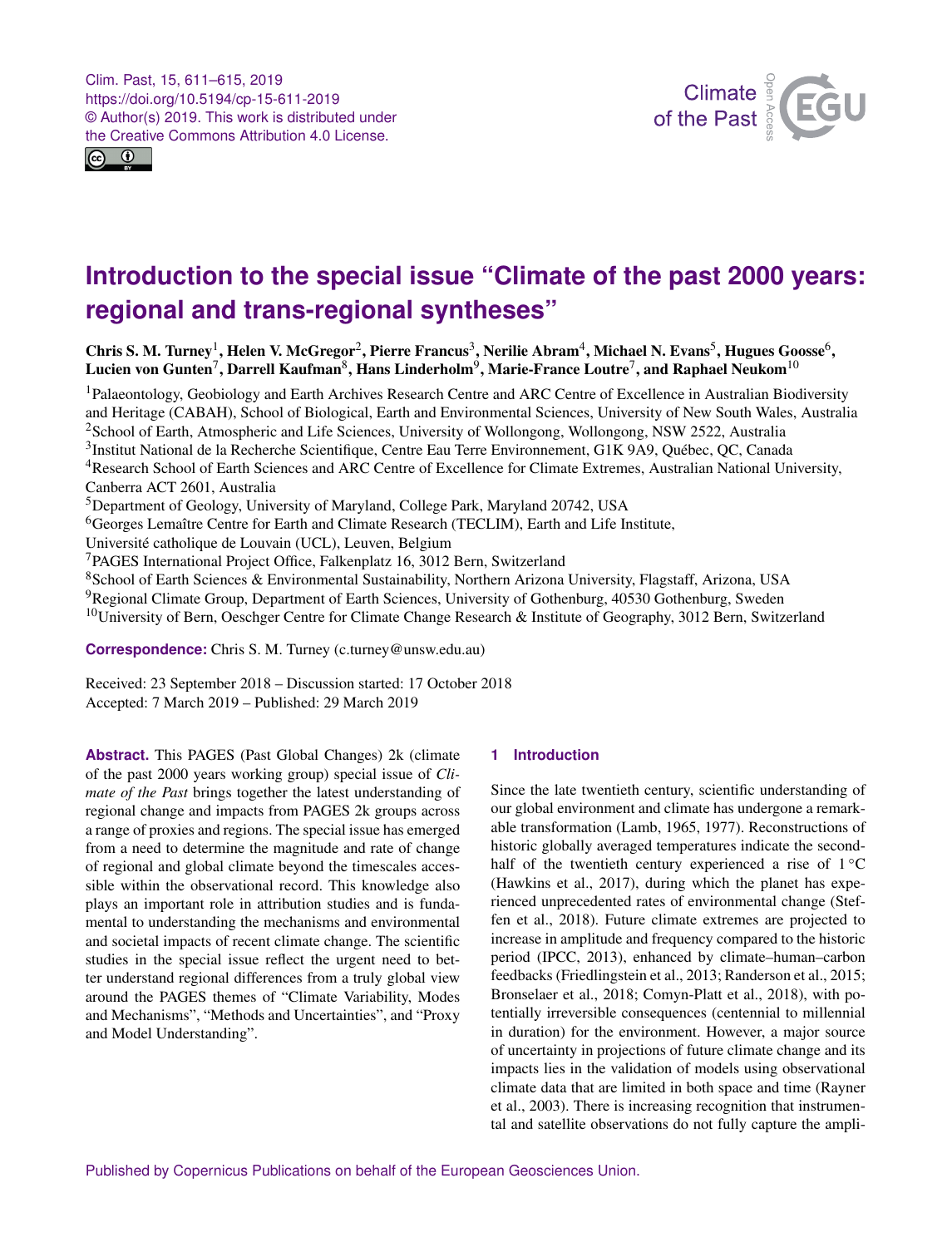<span id="page-0-1"></span>Clim. Past, 15, 611–615, 2019 https://doi.org/10.5194/cp-15-611-2019 © Author(s) 2019. This work is distributed under the Creative Commons Attribution 4.0 License.





## **Introduction to the special issue "Climate of the past 2000 years: regional and trans-regional syntheses"**

Chris S. M. Turney<sup>[1](#page-0-0)</sup>, Helen V. McGregor<sup>[2](#page-0-0)</sup>, Pierre Francus<sup>[3](#page-0-0)</sup>, Nerilie Abram<sup>[4](#page-0-0)</sup>, Michael N. Evans<sup>[5](#page-0-0)</sup>, Hugues Goosse<sup>[6](#page-0-0)</sup>, Lucien von Gunten ${}^{7},$  ${}^{7},$  ${}^{7},$  Darrell Kaufman ${}^{8},$  ${}^{8},$  ${}^{8},$  Hans Linderholm ${}^{9},$  ${}^{9},$  ${}^{9},$  Marie-France Loutre ${}^{7},$  and Raphael Neukom ${}^{10}$  ${}^{10}$  ${}^{10}$ 

<sup>1</sup>Palaeontology, Geobiology and Earth Archives Research Centre and ARC Centre of Excellence in Australian Biodiversity and Heritage (CABAH), School of Biological, Earth and Environmental Sciences, University of New South Wales, Australia <sup>2</sup>School of Earth, Atmospheric and Life Sciences, University of Wollongong, Wollongong, NSW 2522, Australia <sup>3</sup>Institut National de la Recherche Scientifique, Centre Eau Terre Environnement, G1K 9A9, Québec, QC, Canada <sup>4</sup>Research School of Earth Sciences and ARC Centre of Excellence for Climate Extremes, Australian National University, Canberra ACT 2601, Australia <sup>5</sup>Department of Geology, University of Maryland, College Park, Maryland 20742, USA

<sup>6</sup>Georges Lemaître Centre for Earth and Climate Research (TECLIM), Earth and Life Institute,

Université catholique de Louvain (UCL), Leuven, Belgium

<sup>7</sup>PAGES International Project Office, Falkenplatz 16, 3012 Bern, Switzerland

<sup>8</sup>School of Earth Sciences & Environmental Sustainability, Northern Arizona University, Flagstaff, Arizona, USA

<sup>9</sup>Regional Climate Group, Department of Earth Sciences, University of Gothenburg, 40530 Gothenburg, Sweden

<sup>10</sup>University of Bern, Oeschger Centre for Climate Change Research & Institute of Geography, 3012 Bern, Switzerland

**Correspondence:** Chris S. M. Turney (c.turney@unsw.edu.au)

Received: 23 September 2018 – Discussion started: 17 October 2018 Accepted: 7 March 2019 – Published: 29 March 2019

<span id="page-0-0"></span>**Abstract.** This PAGES (Past Global Changes) 2k (climate of the past 2000 years working group) special issue of *Climate of the Past* brings together the latest understanding of regional change and impacts from PAGES 2k groups across a range of proxies and regions. The special issue has emerged from a need to determine the magnitude and rate of change of regional and global climate beyond the timescales accessible within the observational record. This knowledge also plays an important role in attribution studies and is fundamental to understanding the mechanisms and environmental and societal impacts of recent climate change. The scientific studies in the special issue reflect the urgent need to better understand regional differences from a truly global view around the PAGES themes of "Climate Variability, Modes and Mechanisms", "Methods and Uncertainties", and "Proxy and Model Understanding".

## **1 Introduction**

Since the late twentieth century, scientific understanding of our global environment and climate has undergone a remarkable transformation (Lamb, 1965, 1977). Reconstructions of historic globally averaged temperatures indicate the secondhalf of the twentieth century experienced a rise of  $1\,^{\circ}\mathrm{C}$ (Hawkins et al., 2017), during which the planet has experienced unprecedented rates of environmental change (Steffen et al., 2018). Future climate extremes are projected to increase in amplitude and frequency compared to the historic period (IPCC, 2013), enhanced by climate–human–carbon feedbacks (Friedlingstein et al., 2013; Randerson et al., 2015; Bronselaer et al., 2018; Comyn-Platt et al., 2018), with potentially irreversible consequences (centennial to millennial in duration) for the environment. However, a major source of uncertainty in projections of future climate change and its impacts lies in the validation of models using observational climate data that are limited in both space and time (Rayner et al., 2003). There is increasing recognition that instrumental and satellite observations do not fully capture the ampli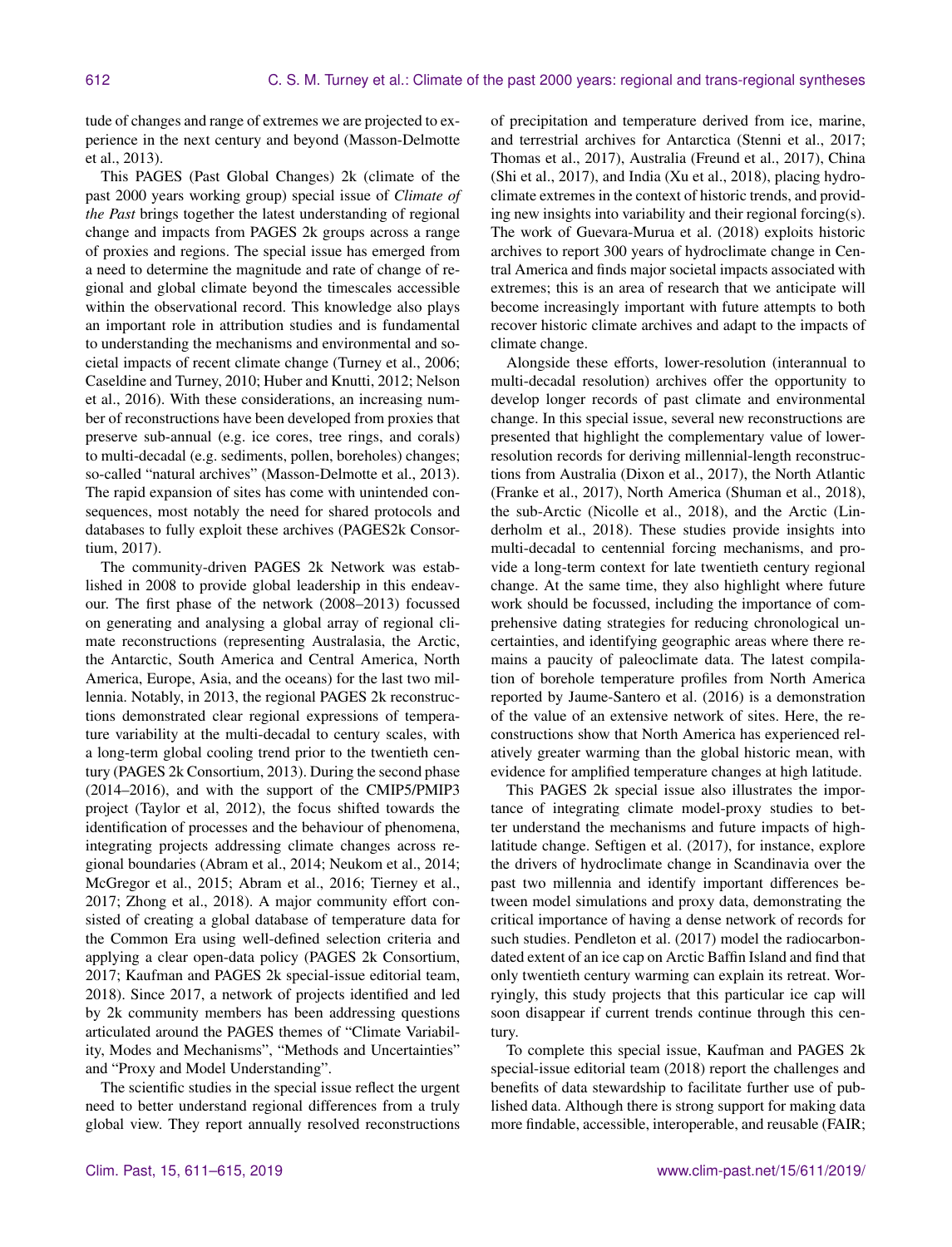tude of changes and range of extremes we are projected to experience in the next century and beyond (Masson-Delmotte et al., 2013).

This PAGES (Past Global Changes) 2k (climate of the past 2000 years working group) special issue of *Climate of the Past* brings together the latest understanding of regional change and impacts from PAGES 2k groups across a range of proxies and regions. The special issue has emerged from a need to determine the magnitude and rate of change of regional and global climate beyond the timescales accessible within the observational record. This knowledge also plays an important role in attribution studies and is fundamental to understanding the mechanisms and environmental and societal impacts of recent climate change (Turney et al., 2006; Caseldine and Turney, 2010; Huber and Knutti, 2012; Nelson et al., 2016). With these considerations, an increasing number of reconstructions have been developed from proxies that preserve sub-annual (e.g. ice cores, tree rings, and corals) to multi-decadal (e.g. sediments, pollen, boreholes) changes; so-called "natural archives" (Masson-Delmotte et al., 2013). The rapid expansion of sites has come with unintended consequences, most notably the need for shared protocols and databases to fully exploit these archives (PAGES2k Consortium, 2017).

The community-driven PAGES 2k Network was established in 2008 to provide global leadership in this endeavour. The first phase of the network (2008–2013) focussed on generating and analysing a global array of regional climate reconstructions (representing Australasia, the Arctic, the Antarctic, South America and Central America, North America, Europe, Asia, and the oceans) for the last two millennia. Notably, in 2013, the regional PAGES 2k reconstructions demonstrated clear regional expressions of temperature variability at the multi-decadal to century scales, with a long-term global cooling trend prior to the twentieth century (PAGES 2k Consortium, 2013). During the second phase (2014–2016), and with the support of the CMIP5/PMIP3 project (Taylor et al, 2012), the focus shifted towards the identification of processes and the behaviour of phenomena, integrating projects addressing climate changes across regional boundaries (Abram et al., 2014; Neukom et al., 2014; McGregor et al., 2015; Abram et al., 2016; Tierney et al., 2017; Zhong et al., 2018). A major community effort consisted of creating a global database of temperature data for the Common Era using well-defined selection criteria and applying a clear open-data policy (PAGES 2k Consortium, 2017; Kaufman and PAGES 2k special-issue editorial team, 2018). Since 2017, a network of projects identified and led by 2k community members has been addressing questions articulated around the PAGES themes of "Climate Variability, Modes and Mechanisms", "Methods and Uncertainties" and "Proxy and Model Understanding".

The scientific studies in the special issue reflect the urgent need to better understand regional differences from a truly global view. They report annually resolved reconstructions of precipitation and temperature derived from ice, marine, and terrestrial archives for Antarctica (Stenni et al., 2017; Thomas et al., 2017), Australia (Freund et al., 2017), China (Shi et al., 2017), and India (Xu et al., 2018), placing hydroclimate extremes in the context of historic trends, and providing new insights into variability and their regional forcing(s). The work of Guevara-Murua et al. (2018) exploits historic archives to report 300 years of hydroclimate change in Central America and finds major societal impacts associated with extremes; this is an area of research that we anticipate will become increasingly important with future attempts to both recover historic climate archives and adapt to the impacts of climate change.

Alongside these efforts, lower-resolution (interannual to multi-decadal resolution) archives offer the opportunity to develop longer records of past climate and environmental change. In this special issue, several new reconstructions are presented that highlight the complementary value of lowerresolution records for deriving millennial-length reconstructions from Australia (Dixon et al., 2017), the North Atlantic (Franke et al., 2017), North America (Shuman et al., 2018), the sub-Arctic (Nicolle et al., 2018), and the Arctic (Linderholm et al., 2018). These studies provide insights into multi-decadal to centennial forcing mechanisms, and provide a long-term context for late twentieth century regional change. At the same time, they also highlight where future work should be focussed, including the importance of comprehensive dating strategies for reducing chronological uncertainties, and identifying geographic areas where there remains a paucity of paleoclimate data. The latest compilation of borehole temperature profiles from North America reported by Jaume-Santero et al. (2016) is a demonstration of the value of an extensive network of sites. Here, the reconstructions show that North America has experienced relatively greater warming than the global historic mean, with evidence for amplified temperature changes at high latitude.

This PAGES 2k special issue also illustrates the importance of integrating climate model-proxy studies to better understand the mechanisms and future impacts of highlatitude change. Seftigen et al. (2017), for instance, explore the drivers of hydroclimate change in Scandinavia over the past two millennia and identify important differences between model simulations and proxy data, demonstrating the critical importance of having a dense network of records for such studies. Pendleton et al. (2017) model the radiocarbondated extent of an ice cap on Arctic Baffin Island and find that only twentieth century warming can explain its retreat. Worryingly, this study projects that this particular ice cap will soon disappear if current trends continue through this century.

To complete this special issue, Kaufman and PAGES 2k special-issue editorial team (2018) report the challenges and benefits of data stewardship to facilitate further use of published data. Although there is strong support for making data more findable, accessible, interoperable, and reusable (FAIR;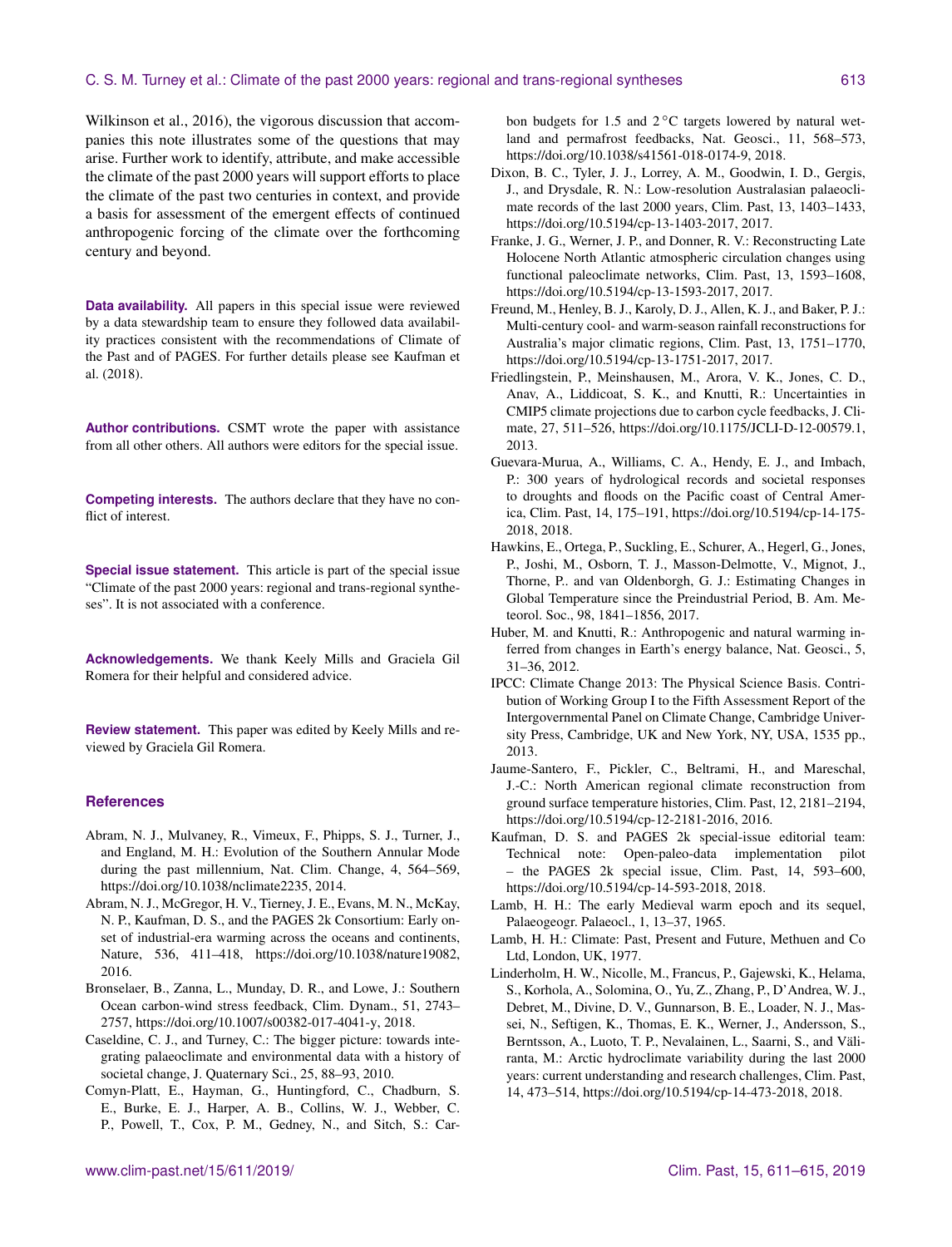Wilkinson et al., 2016), the vigorous discussion that accompanies this note illustrates some of the questions that may arise. Further work to identify, attribute, and make accessible the climate of the past 2000 years will support efforts to place the climate of the past two centuries in context, and provide a basis for assessment of the emergent effects of continued anthropogenic forcing of the climate over the forthcoming century and beyond.

**Data availability.** All papers in this special issue were reviewed by a data stewardship team to ensure they followed data availability practices consistent with the recommendations of Climate of the Past and of PAGES. For further details please see Kaufman et al. (2018).

**Author contributions.** CSMT wrote the paper with assistance from all other others. All authors were editors for the special issue.

**Competing interests.** The authors declare that they have no conflict of interest.

**Special issue statement.** This article is part of the special issue "Climate of the past 2000 years: regional and trans-regional syntheses". It is not associated with a conference.

**Acknowledgements.** We thank Keely Mills and Graciela Gil Romera for their helpful and considered advice.

**Review statement.** This paper was edited by Keely Mills and reviewed by Graciela Gil Romera.

## **References**

- Abram, N. J., Mulvaney, R., Vimeux, F., Phipps, S. J., Turner, J., and England, M. H.: Evolution of the Southern Annular Mode during the past millennium, Nat. Clim. Change, 4, 564–569, https://doi.org[/10.1038/nclimate2235,](https://doi.org/10.1038/nclimate2235) 2014.
- Abram, N. J., McGregor, H. V., Tierney, J. E., Evans, M. N., McKay, N. P., Kaufman, D. S., and the PAGES 2k Consortium: Early onset of industrial-era warming across the oceans and continents, Nature, 536, 411–418, https://doi.org[/10.1038/nature19082,](https://doi.org/10.1038/nature19082) 2016.
- Bronselaer, B., Zanna, L., Munday, D. R., and Lowe, J.: Southern Ocean carbon-wind stress feedback, Clim. Dynam., 51, 2743– 2757, https://doi.org[/10.1007/s00382-017-4041-y,](https://doi.org/10.1007/s00382-017-4041-y) 2018.
- Caseldine, C. J., and Turney, C.: The bigger picture: towards integrating palaeoclimate and environmental data with a history of societal change, J. Quaternary Sci., 25, 88–93, 2010.
- Comyn-Platt, E., Hayman, G., Huntingford, C., Chadburn, S. E., Burke, E. J., Harper, A. B., Collins, W. J., Webber, C. P., Powell, T., Cox, P. M., Gedney, N., and Sitch, S.: Car-

bon budgets for 1.5 and  $2^{\circ}$ C targets lowered by natural wetland and permafrost feedbacks, Nat. Geosci., 11, 568–573, https://doi.org[/10.1038/s41561-018-0174-9,](https://doi.org/10.1038/s41561-018-0174-9) 2018.

- Dixon, B. C., Tyler, J. J., Lorrey, A. M., Goodwin, I. D., Gergis, J., and Drysdale, R. N.: Low-resolution Australasian palaeoclimate records of the last 2000 years, Clim. Past, 13, 1403–1433, https://doi.org[/10.5194/cp-13-1403-2017,](https://doi.org/10.5194/cp-13-1403-2017) 2017.
- Franke, J. G., Werner, J. P., and Donner, R. V.: Reconstructing Late Holocene North Atlantic atmospheric circulation changes using functional paleoclimate networks, Clim. Past, 13, 1593–1608, https://doi.org[/10.5194/cp-13-1593-2017,](https://doi.org/10.5194/cp-13-1593-2017) 2017.
- Freund, M., Henley, B. J., Karoly, D. J., Allen, K. J., and Baker, P. J.: Multi-century cool- and warm-season rainfall reconstructions for Australia's major climatic regions, Clim. Past, 13, 1751–1770, https://doi.org[/10.5194/cp-13-1751-2017,](https://doi.org/10.5194/cp-13-1751-2017) 2017.
- Friedlingstein, P., Meinshausen, M., Arora, V. K., Jones, C. D., Anav, A., Liddicoat, S. K., and Knutti, R.: Uncertainties in CMIP5 climate projections due to carbon cycle feedbacks, J. Climate, 27, 511–526, https://doi.org[/10.1175/JCLI-D-12-00579.1,](https://doi.org/10.1175/JCLI-D-12-00579.1) 2013.
- Guevara-Murua, A., Williams, C. A., Hendy, E. J., and Imbach, P.: 300 years of hydrological records and societal responses to droughts and floods on the Pacific coast of Central America, Clim. Past, 14, 175–191, https://doi.org[/10.5194/cp-14-175-](https://doi.org/10.5194/cp-14-175-2018) [2018,](https://doi.org/10.5194/cp-14-175-2018) 2018.
- Hawkins, E., Ortega, P., Suckling, E., Schurer, A., Hegerl, G., Jones, P., Joshi, M., Osborn, T. J., Masson-Delmotte, V., Mignot, J., Thorne, P.. and van Oldenborgh, G. J.: Estimating Changes in Global Temperature since the Preindustrial Period, B. Am. Meteorol. Soc., 98, 1841–1856, 2017.
- Huber, M. and Knutti, R.: Anthropogenic and natural warming inferred from changes in Earth's energy balance, Nat. Geosci., 5, 31–36, 2012.
- IPCC: Climate Change 2013: The Physical Science Basis. Contribution of Working Group I to the Fifth Assessment Report of the Intergovernmental Panel on Climate Change, Cambridge University Press, Cambridge, UK and New York, NY, USA, 1535 pp., 2013.
- Jaume-Santero, F., Pickler, C., Beltrami, H., and Mareschal, J.-C.: North American regional climate reconstruction from ground surface temperature histories, Clim. Past, 12, 2181–2194, https://doi.org[/10.5194/cp-12-2181-2016,](https://doi.org/10.5194/cp-12-2181-2016) 2016.
- Kaufman, D. S. and PAGES 2k special-issue editorial team: Technical note: Open-paleo-data implementation pilot – the PAGES 2k special issue, Clim. Past, 14, 593–600, https://doi.org[/10.5194/cp-14-593-2018,](https://doi.org/10.5194/cp-14-593-2018) 2018.
- Lamb, H. H.: The early Medieval warm epoch and its sequel, Palaeogeogr. Palaeocl., 1, 13–37, 1965.
- Lamb, H. H.: Climate: Past, Present and Future, Methuen and Co Ltd, London, UK, 1977.
- Linderholm, H. W., Nicolle, M., Francus, P., Gajewski, K., Helama, S., Korhola, A., Solomina, O., Yu, Z., Zhang, P., D'Andrea, W. J., Debret, M., Divine, D. V., Gunnarson, B. E., Loader, N. J., Massei, N., Seftigen, K., Thomas, E. K., Werner, J., Andersson, S., Berntsson, A., Luoto, T. P., Nevalainen, L., Saarni, S., and Väliranta, M.: Arctic hydroclimate variability during the last 2000 years: current understanding and research challenges, Clim. Past, 14, 473–514, https://doi.org[/10.5194/cp-14-473-2018,](https://doi.org/10.5194/cp-14-473-2018) 2018.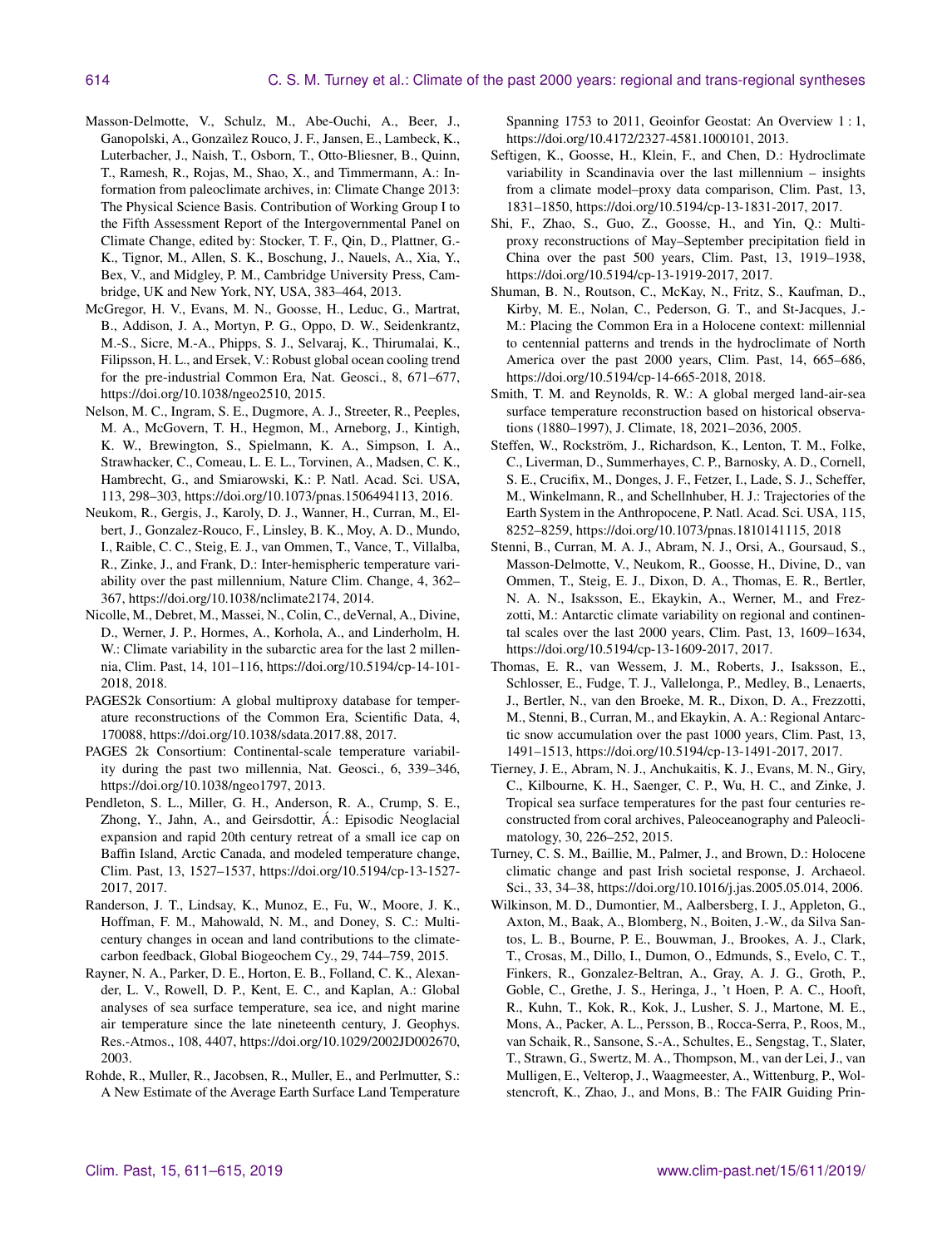- Masson-Delmotte, V., Schulz, M., Abe-Ouchi, A., Beer, J., Ganopolski, A., Gonzaìlez Rouco, J. F., Jansen, E., Lambeck, K., Luterbacher, J., Naish, T., Osborn, T., Otto-Bliesner, B., Quinn, T., Ramesh, R., Rojas, M., Shao, X., and Timmermann, A.: Information from paleoclimate archives, in: Climate Change 2013: The Physical Science Basis. Contribution of Working Group I to the Fifth Assessment Report of the Intergovernmental Panel on Climate Change, edited by: Stocker, T. F., Qin, D., Plattner, G.- K., Tignor, M., Allen, S. K., Boschung, J., Nauels, A., Xia, Y., Bex, V., and Midgley, P. M., Cambridge University Press, Cambridge, UK and New York, NY, USA, 383–464, 2013.
- McGregor, H. V., Evans, M. N., Goosse, H., Leduc, G., Martrat, B., Addison, J. A., Mortyn, P. G., Oppo, D. W., Seidenkrantz, M.-S., Sicre, M.-A., Phipps, S. J., Selvaraj, K., Thirumalai, K., Filipsson, H. L., and Ersek, V.: Robust global ocean cooling trend for the pre-industrial Common Era, Nat. Geosci., 8, 671–677, https://doi.org[/10.1038/ngeo2510,](https://doi.org/10.1038/ngeo2510) 2015.
- Nelson, M. C., Ingram, S. E., Dugmore, A. J., Streeter, R., Peeples, M. A., McGovern, T. H., Hegmon, M., Arneborg, J., Kintigh, K. W., Brewington, S., Spielmann, K. A., Simpson, I. A., Strawhacker, C., Comeau, L. E. L., Torvinen, A., Madsen, C. K., Hambrecht, G., and Smiarowski, K.: P. Natl. Acad. Sci. USA, 113, 298–303, https://doi.org[/10.1073/pnas.1506494113,](https://doi.org/10.1073/pnas.1506494113) 2016.
- Neukom, R., Gergis, J., Karoly, D. J., Wanner, H., Curran, M., Elbert, J., Gonzalez-Rouco, F., Linsley, B. K., Moy, A. D., Mundo, I., Raible, C. C., Steig, E. J., van Ommen, T., Vance, T., Villalba, R., Zinke, J., and Frank, D.: Inter-hemispheric temperature variability over the past millennium, Nature Clim. Change, 4, 362– 367, https://doi.org[/10.1038/nclimate2174,](https://doi.org/10.1038/nclimate2174) 2014.
- Nicolle, M., Debret, M., Massei, N., Colin, C., deVernal, A., Divine, D., Werner, J. P., Hormes, A., Korhola, A., and Linderholm, H. W.: Climate variability in the subarctic area for the last 2 millennia, Clim. Past, 14, 101–116, https://doi.org[/10.5194/cp-14-101-](https://doi.org/10.5194/cp-14-101-2018) [2018,](https://doi.org/10.5194/cp-14-101-2018) 2018.
- PAGES2k Consortium: A global multiproxy database for temperature reconstructions of the Common Era, Scientific Data, 4, 170088, https://doi.org[/10.1038/sdata.2017.88,](https://doi.org/10.1038/sdata.2017.88) 2017.
- PAGES 2k Consortium: Continental-scale temperature variability during the past two millennia, Nat. Geosci., 6, 339–346, https://doi.org[/10.1038/ngeo1797,](https://doi.org/10.1038/ngeo1797) 2013.
- Pendleton, S. L., Miller, G. H., Anderson, R. A., Crump, S. E., Zhong, Y., Jahn, A., and Geirsdottir, Á.: Episodic Neoglacial expansion and rapid 20th century retreat of a small ice cap on Baffin Island, Arctic Canada, and modeled temperature change, Clim. Past, 13, 1527–1537, https://doi.org[/10.5194/cp-13-1527-](https://doi.org/10.5194/cp-13-1527-2017) [2017,](https://doi.org/10.5194/cp-13-1527-2017) 2017.
- Randerson, J. T., Lindsay, K., Munoz, E., Fu, W., Moore, J. K., Hoffman, F. M., Mahowald, N. M., and Doney, S. C.: Multicentury changes in ocean and land contributions to the climatecarbon feedback, Global Biogeochem Cy., 29, 744–759, 2015.
- Rayner, N. A., Parker, D. E., Horton, E. B., Folland, C. K., Alexander, L. V., Rowell, D. P., Kent, E. C., and Kaplan, A.: Global analyses of sea surface temperature, sea ice, and night marine air temperature since the late nineteenth century, J. Geophys. Res.-Atmos., 108, 4407, https://doi.org[/10.1029/2002JD002670,](https://doi.org/10.1029/2002JD002670) 2003.
- Rohde, R., Muller, R., Jacobsen, R., Muller, E., and Perlmutter, S.: A New Estimate of the Average Earth Surface Land Temperature

Spanning 1753 to 2011, Geoinfor Geostat: An Overview 1 : 1, https://doi.org[/10.4172/2327-4581.1000101,](https://doi.org/10.4172/2327-4581.1000101) 2013.

- Seftigen, K., Goosse, H., Klein, F., and Chen, D.: Hydroclimate variability in Scandinavia over the last millennium – insights from a climate model–proxy data comparison, Clim. Past, 13, 1831–1850, https://doi.org[/10.5194/cp-13-1831-2017,](https://doi.org/10.5194/cp-13-1831-2017) 2017.
- Shi, F., Zhao, S., Guo, Z., Goosse, H., and Yin, Q.: Multiproxy reconstructions of May–September precipitation field in China over the past 500 years, Clim. Past, 13, 1919–1938, https://doi.org[/10.5194/cp-13-1919-2017,](https://doi.org/10.5194/cp-13-1919-2017) 2017.
- Shuman, B. N., Routson, C., McKay, N., Fritz, S., Kaufman, D., Kirby, M. E., Nolan, C., Pederson, G. T., and St-Jacques, J.- M.: Placing the Common Era in a Holocene context: millennial to centennial patterns and trends in the hydroclimate of North America over the past 2000 years, Clim. Past, 14, 665–686, https://doi.org[/10.5194/cp-14-665-2018,](https://doi.org/10.5194/cp-14-665-2018) 2018.
- Smith, T. M. and Reynolds, R. W.: A global merged land-air-sea surface temperature reconstruction based on historical observations (1880–1997), J. Climate, 18, 2021–2036, 2005.
- Steffen, W., Rockström, J., Richardson, K., Lenton, T. M., Folke, C., Liverman, D., Summerhayes, C. P., Barnosky, A. D., Cornell, S. E., Crucifix, M., Donges, J. F., Fetzer, I., Lade, S. J., Scheffer, M., Winkelmann, R., and Schellnhuber, H. J.: Trajectories of the Earth System in the Anthropocene, P. Natl. Acad. Sci. USA, 115, 8252–8259, https://doi.org[/10.1073/pnas.1810141115,](https://doi.org/10.1073/pnas.1810141115) 2018
- Stenni, B., Curran, M. A. J., Abram, N. J., Orsi, A., Goursaud, S., Masson-Delmotte, V., Neukom, R., Goosse, H., Divine, D., van Ommen, T., Steig, E. J., Dixon, D. A., Thomas, E. R., Bertler, N. A. N., Isaksson, E., Ekaykin, A., Werner, M., and Frezzotti, M.: Antarctic climate variability on regional and continental scales over the last 2000 years, Clim. Past, 13, 1609–1634, https://doi.org[/10.5194/cp-13-1609-2017,](https://doi.org/10.5194/cp-13-1609-2017) 2017.
- Thomas, E. R., van Wessem, J. M., Roberts, J., Isaksson, E., Schlosser, E., Fudge, T. J., Vallelonga, P., Medley, B., Lenaerts, J., Bertler, N., van den Broeke, M. R., Dixon, D. A., Frezzotti, M., Stenni, B., Curran, M., and Ekaykin, A. A.: Regional Antarctic snow accumulation over the past 1000 years, Clim. Past, 13, 1491–1513, https://doi.org[/10.5194/cp-13-1491-2017,](https://doi.org/10.5194/cp-13-1491-2017) 2017.
- Tierney, J. E., Abram, N. J., Anchukaitis, K. J., Evans, M. N., Giry, C., Kilbourne, K. H., Saenger, C. P., Wu, H. C., and Zinke, J. Tropical sea surface temperatures for the past four centuries reconstructed from coral archives, Paleoceanography and Paleoclimatology, 30, 226–252, 2015.
- Turney, C. S. M., Baillie, M., Palmer, J., and Brown, D.: Holocene climatic change and past Irish societal response, J. Archaeol. Sci., 33, 34–38, https://doi.org[/10.1016/j.jas.2005.05.014,](https://doi.org/10.1016/j.jas.2005.05.014) 2006.
- Wilkinson, M. D., Dumontier, M., Aalbersberg, I. J., Appleton, G., Axton, M., Baak, A., Blomberg, N., Boiten, J.-W., da Silva Santos, L. B., Bourne, P. E., Bouwman, J., Brookes, A. J., Clark, T., Crosas, M., Dillo, I., Dumon, O., Edmunds, S., Evelo, C. T., Finkers, R., Gonzalez-Beltran, A., Gray, A. J. G., Groth, P., Goble, C., Grethe, J. S., Heringa, J., 't Hoen, P. A. C., Hooft, R., Kuhn, T., Kok, R., Kok, J., Lusher, S. J., Martone, M. E., Mons, A., Packer, A. L., Persson, B., Rocca-Serra, P., Roos, M., van Schaik, R., Sansone, S.-A., Schultes, E., Sengstag, T., Slater, T., Strawn, G., Swertz, M. A., Thompson, M., van der Lei, J., van Mulligen, E., Velterop, J., Waagmeester, A., Wittenburg, P., Wolstencroft, K., Zhao, J., and Mons, B.: The FAIR Guiding Prin-